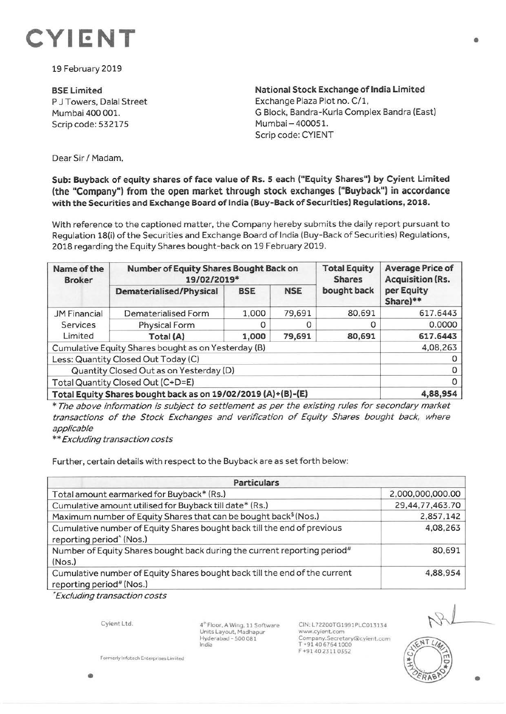

19 February 2019

**BSE Limited**  P J Towers, Dalal Street Mumbai 400 001. Scrip code: 532175

**National Stock Exchange of India Limited**  Exchange Plaza Plot no. C/1, G Block, Bandra-Kurla Complex Sandra (East) Mumbai-400051. Scrip code: CYIENT

Dear Sir / Madam,

**Sub: Buyback of equity shares of face value of Rs. 5 each ("Equity Shares") by Cyient Limited (the "Company") from the open market through stock exchanges ("Buyback") in accordance with the Securities and Exchange Board of India (Buy-Back of Securities) Regulations, 2018.** 

With reference to the captioned matter, the Company hereby submits the daily report pursuant to Regulation 18(i) of the Securities and Exchange Board of India (Buy-Back of Securities) Regulations, 2018 regarding the Equity Shares bought-back on 19 February 2019.

| Name of the<br><b>Broker</b>                                 | Number of Equity Shares Bought Back on<br>19/02/2019* |            |            | <b>Total Equity</b><br><b>Shares</b> | <b>Average Price of</b><br><b>Acquisition (Rs.</b> |
|--------------------------------------------------------------|-------------------------------------------------------|------------|------------|--------------------------------------|----------------------------------------------------|
|                                                              | <b>Dematerialised/Physical</b>                        | <b>BSE</b> | <b>NSE</b> | bought back                          | per Equity<br>Share)**                             |
| <b>JM Financial</b><br><b>Services</b><br>Limited            | Dematerialised Form                                   | 1,000      | 79,691     | 80,691                               | 617.6443                                           |
|                                                              | <b>Physical Form</b>                                  |            |            | 0                                    | 0.0000                                             |
|                                                              | Total (A)                                             | 1,000      | 79,691     | 80,691                               | 617.6443                                           |
| Cumulative Equity Shares bought as on Yesterday (B)          |                                                       |            |            |                                      | 4,08,263                                           |
| Less: Quantity Closed Out Today (C)                          |                                                       |            |            |                                      |                                                    |
| Quantity Closed Out as on Yesterday (D)                      |                                                       |            |            |                                      | 0                                                  |
| Total Quantity Closed Out (C+D=E)                            | 0                                                     |            |            |                                      |                                                    |
| Total Equity Shares bought back as on 19/02/2019 (A)+(B)-(E) |                                                       |            |            |                                      | 4,88,954                                           |

\* The above information is subject to settlement as per the existing rules for secondary market transactions of the Stock Exchanges and verification of Equity Shares bought back, where applicable

\* \* Excluding transaction costs

Further, certain details with respect to the Buyback are as set forth below:

| <b>Particulars</b>                                                                                              |                  |  |  |  |
|-----------------------------------------------------------------------------------------------------------------|------------------|--|--|--|
| Total amount earmarked for Buyback* (Rs.)                                                                       | 2,000,000,000.00 |  |  |  |
| Cumulative amount utilised for Buyback till date* (Rs.)                                                         | 29,44,77,463.70  |  |  |  |
| Maximum number of Equity Shares that can be bought back <sup>\$</sup> (Nos.)                                    | 2,857,142        |  |  |  |
| Cumulative number of Equity Shares bought back till the end of previous<br>reporting period <sup>^</sup> (Nos.) | 4,08,263         |  |  |  |
| Number of Equity Shares bought back during the current reporting period <sup>#</sup><br>(Nos.)                  | 80,691           |  |  |  |
| Cumulative number of Equity Shares bought back till the end of the current<br>reporting period# (Nos.)          | 4,88,954         |  |  |  |

• Excluding transaction costs

Cyient Ltd.

**4"'** Floor, **A** Wing, 11 Software Units Layout, Madhapur  $Hyderabad - 500081$ India

CIN: L72200TG1991PLC013134 www.cyient.com Company.Secretary®cyient.com T +91 40 6764 1000 F +91402311 0352



•

**formerly lnfotech Enterprises Limited**